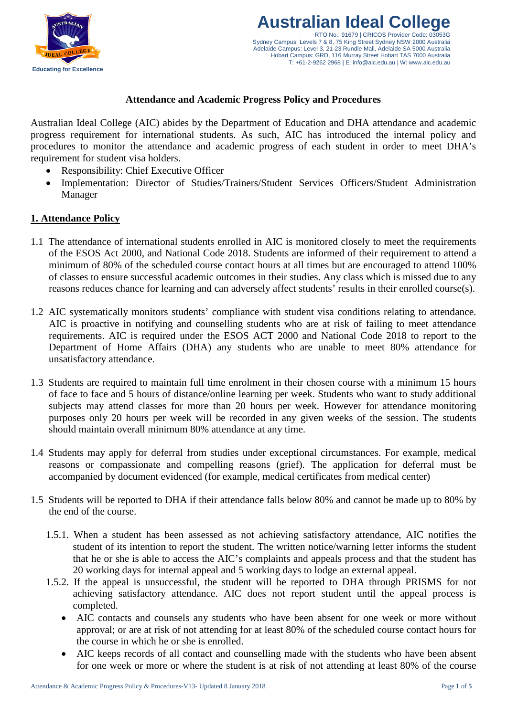

## **Attendance and Academic Progress Policy and Procedures**

Australian Ideal College (AIC) abides by the Department of Education and DHA attendance and academic progress requirement for international students. As such, AIC has introduced the internal policy and procedures to monitor the attendance and academic progress of each student in order to meet DHA's requirement for student visa holders.

- Responsibility: Chief Executive Officer
- Implementation: Director of Studies/Trainers/Student Services Officers/Student Administration Manager

### **1. Attendance Policy**

- 1.1 The attendance of international students enrolled in AIC is monitored closely to meet the requirements of the ESOS Act 2000, and National Code 2018. Students are informed of their requirement to attend a minimum of 80% of the scheduled course contact hours at all times but are encouraged to attend 100% of classes to ensure successful academic outcomes in their studies. Any class which is missed due to any reasons reduces chance for learning and can adversely affect students' results in their enrolled course(s).
- 1.2 AIC systematically monitors students' compliance with student visa conditions relating to attendance. AIC is proactive in notifying and counselling students who are at risk of failing to meet attendance requirements. AIC is required under the ESOS ACT 2000 and National Code 2018 to report to the Department of Home Affairs (DHA) any students who are unable to meet 80% attendance for unsatisfactory attendance.
- 1.3 Students are required to maintain full time enrolment in their chosen course with a minimum 15 hours of face to face and 5 hours of distance/online learning per week. Students who want to study additional subjects may attend classes for more than 20 hours per week. However for attendance monitoring purposes only 20 hours per week will be recorded in any given weeks of the session. The students should maintain overall minimum 80% attendance at any time.
- 1.4 Students may apply for deferral from studies under exceptional circumstances. For example, medical reasons or compassionate and compelling reasons (grief). The application for deferral must be accompanied by document evidenced (for example, medical certificates from medical center)
- 1.5 Students will be reported to DHA if their attendance falls below 80% and cannot be made up to 80% by the end of the course.
	- 1.5.1. When a student has been assessed as not achieving satisfactory attendance, AIC notifies the student of its intention to report the student. The written notice/warning letter informs the student that he or she is able to access the AIC's complaints and appeals process and that the student has 20 working days for internal appeal and 5 working days to lodge an external appeal.
	- 1.5.2. If the appeal is unsuccessful, the student will be reported to DHA through PRISMS for not achieving satisfactory attendance. AIC does not report student until the appeal process is completed.
		- AIC contacts and counsels any students who have been absent for one week or more without approval; or are at risk of not attending for at least 80% of the scheduled course contact hours for the course in which he or she is enrolled.
		- AIC keeps records of all contact and counselling made with the students who have been absent for one week or more or where the student is at risk of not attending at least 80% of the course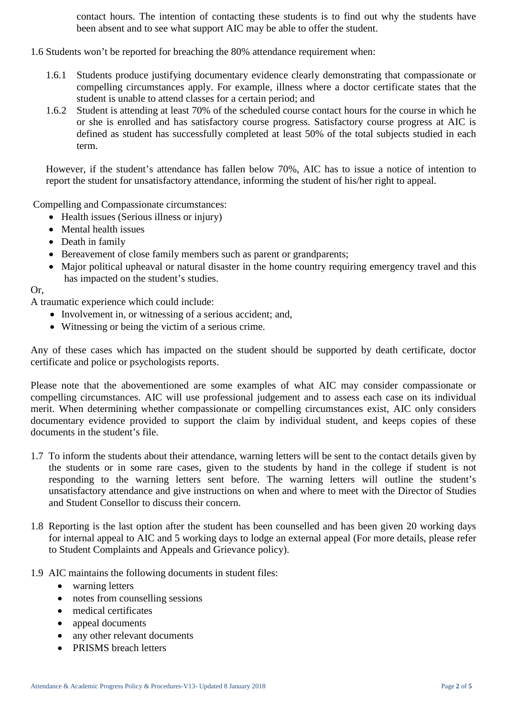contact hours. The intention of contacting these students is to find out why the students have been absent and to see what support AIC may be able to offer the student.

- 1.6 Students won't be reported for breaching the 80% attendance requirement when:
	- 1.6.1 Students produce justifying documentary evidence clearly demonstrating that compassionate or compelling circumstances apply. For example, illness where a doctor certificate states that the student is unable to attend classes for a certain period; and
	- 1.6.2 Student is attending at least 70% of the scheduled course contact hours for the course in which he or she is enrolled and has satisfactory course progress. Satisfactory course progress at AIC is defined as student has successfully completed at least 50% of the total subjects studied in each term.

However, if the student's attendance has fallen below 70%, AIC has to issue a notice of intention to report the student for unsatisfactory attendance, informing the student of his/her right to appeal.

Compelling and Compassionate circumstances:

- Health issues (Serious illness or injury)
- Mental health issues
- Death in family
- Bereavement of close family members such as parent or grandparents;
- Major political upheaval or natural disaster in the home country requiring emergency travel and this has impacted on the student's studies.

Or,

A traumatic experience which could include:

- Involvement in, or witnessing of a serious accident; and,
- Witnessing or being the victim of a serious crime.

Any of these cases which has impacted on the student should be supported by death certificate, doctor certificate and police or psychologists reports.

Please note that the abovementioned are some examples of what AIC may consider compassionate or compelling circumstances. AIC will use professional judgement and to assess each case on its individual merit. When determining whether compassionate or compelling circumstances exist, AIC only considers documentary evidence provided to support the claim by individual student, and keeps copies of these documents in the student's file.

- 1.7 To inform the students about their attendance, warning letters will be sent to the contact details given by the students or in some rare cases, given to the students by hand in the college if student is not responding to the warning letters sent before. The warning letters will outline the student's unsatisfactory attendance and give instructions on when and where to meet with the Director of Studies and Student Consellor to discuss their concern.
- 1.8 Reporting is the last option after the student has been counselled and has been given 20 working days for internal appeal to AIC and 5 working days to lodge an external appeal (For more details, please refer to Student Complaints and Appeals and Grievance policy).
- 1.9 AIC maintains the following documents in student files:
	- warning letters
	- notes from counselling sessions
	- medical certificates
	- appeal documents
	- any other relevant documents
	- PRISMS breach letters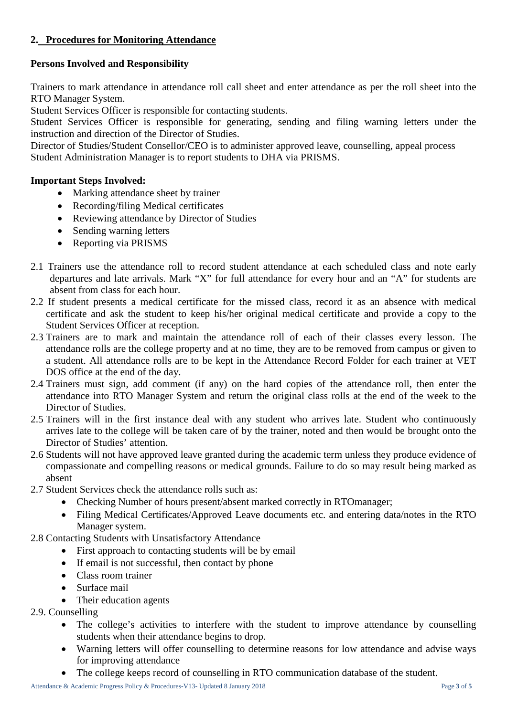# **2. Procedures for Monitoring Attendance**

# **Persons Involved and Responsibility**

Trainers to mark attendance in attendance roll call sheet and enter attendance as per the roll sheet into the RTO Manager System.

Student Services Officer is responsible for contacting students.

Student Services Officer is responsible for generating, sending and filing warning letters under the instruction and direction of the Director of Studies.

Director of Studies/Student Consellor/CEO is to administer approved leave, counselling, appeal process Student Administration Manager is to report students to DHA via PRISMS.

## **Important Steps Involved:**

- Marking attendance sheet by trainer
- Recording/filing Medical certificates
- Reviewing attendance by Director of Studies
- Sending warning letters
- Reporting via PRISMS
- 2.1 Trainers use the attendance roll to record student attendance at each scheduled class and note early departures and late arrivals. Mark "X" for full attendance for every hour and an "A" for students are absent from class for each hour.
- 2.2 If student presents a medical certificate for the missed class, record it as an absence with medical certificate and ask the student to keep his/her original medical certificate and provide a copy to the Student Services Officer at reception.
- 2.3 Trainers are to mark and maintain the attendance roll of each of their classes every lesson. The attendance rolls are the college property and at no time, they are to be removed from campus or given to a student. All attendance rolls are to be kept in the Attendance Record Folder for each trainer at VET DOS office at the end of the day.
- 2.4 Trainers must sign, add comment (if any) on the hard copies of the attendance roll, then enter the attendance into RTO Manager System and return the original class rolls at the end of the week to the Director of Studies.
- 2.5 Trainers will in the first instance deal with any student who arrives late. Student who continuously arrives late to the college will be taken care of by the trainer, noted and then would be brought onto the Director of Studies' attention.
- 2.6 Students will not have approved leave granted during the academic term unless they produce evidence of compassionate and compelling reasons or medical grounds. Failure to do so may result being marked as absent
- 2.7 Student Services check the attendance rolls such as:
	- Checking Number of hours present/absent marked correctly in RTOmanager;
	- Filing Medical Certificates/Approved Leave documents etc. and entering data/notes in the RTO Manager system.
- 2.8 Contacting Students with Unsatisfactory Attendance
	- First approach to contacting students will be by email
	- If email is not successful, then contact by phone
	- Class room trainer
	- Surface mail
	- Their education agents
- 2.9. Counselling
	- The college's activities to interfere with the student to improve attendance by counselling students when their attendance begins to drop.
	- Warning letters will offer counselling to determine reasons for low attendance and advise ways for improving attendance
	- The college keeps record of counselling in RTO communication database of the student.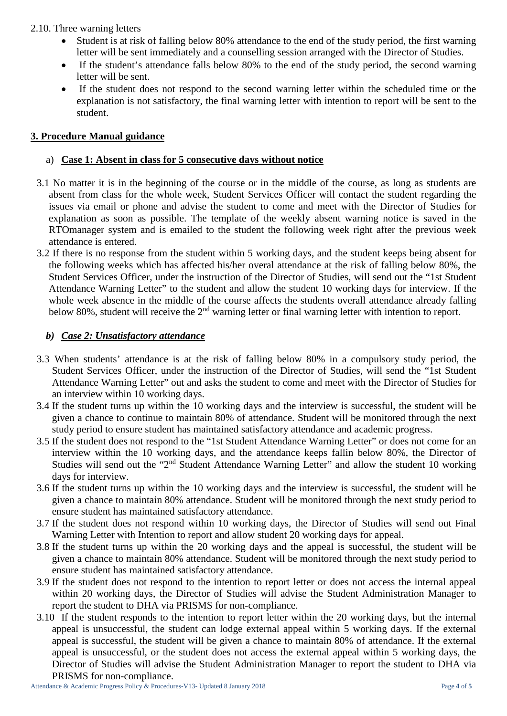### 2.10. Three warning letters

- Student is at risk of falling below 80% attendance to the end of the study period, the first warning letter will be sent immediately and a counselling session arranged with the Director of Studies.
- If the student's attendance falls below 80% to the end of the study period, the second warning letter will be sent.
- If the student does not respond to the second warning letter within the scheduled time or the explanation is not satisfactory, the final warning letter with intention to report will be sent to the student.

## **3. Procedure Manual guidance**

### a) **Case 1: Absent in class for 5 consecutive days without notice**

- 3.1 No matter it is in the beginning of the course or in the middle of the course, as long as students are absent from class for the whole week, Student Services Officer will contact the student regarding the issues via email or phone and advise the student to come and meet with the Director of Studies for explanation as soon as possible. The template of the weekly absent warning notice is saved in the RTOmanager system and is emailed to the student the following week right after the previous week attendance is entered.
- 3.2 If there is no response from the student within 5 working days, and the student keeps being absent for the following weeks which has affected his/her overal attendance at the risk of falling below 80%, the Student Services Officer, under the instruction of the Director of Studies, will send out the "1st Student Attendance Warning Letter" to the student and allow the student 10 working days for interview. If the whole week absence in the middle of the course affects the students overall attendance already falling below 80%, student will receive the 2<sup>nd</sup> warning letter or final warning letter with intention to report.

### *b) Case 2: Unsatisfactory attendance*

- 3.3 When students' attendance is at the risk of falling below 80% in a compulsory study period, the Student Services Officer, under the instruction of the Director of Studies, will send the "1st Student Attendance Warning Letter" out and asks the student to come and meet with the Director of Studies for an interview within 10 working days.
- 3.4 If the student turns up within the 10 working days and the interview is successful, the student will be given a chance to continue to maintain 80% of attendance. Student will be monitored through the next study period to ensure student has maintained satisfactory attendance and academic progress.
- 3.5 If the student does not respond to the "1st Student Attendance Warning Letter" or does not come for an interview within the 10 working days, and the attendance keeps fallin below 80%, the Director of Studies will send out the "2<sup>nd</sup> Student Attendance Warning Letter" and allow the student 10 working days for interview.
- 3.6 If the student turns up within the 10 working days and the interview is successful, the student will be given a chance to maintain 80% attendance. Student will be monitored through the next study period to ensure student has maintained satisfactory attendance.
- 3.7 If the student does not respond within 10 working days, the Director of Studies will send out Final Warning Letter with Intention to report and allow student 20 working days for appeal.
- 3.8 If the student turns up within the 20 working days and the appeal is successful, the student will be given a chance to maintain 80% attendance. Student will be monitored through the next study period to ensure student has maintained satisfactory attendance.
- 3.9 If the student does not respond to the intention to report letter or does not access the internal appeal within 20 working days, the Director of Studies will advise the Student Administration Manager to report the student to DHA via PRISMS for non-compliance.
- 3.10 If the student responds to the intention to report letter within the 20 working days, but the internal appeal is unsuccessful, the student can lodge external appeal within 5 working days. If the external appeal is successful, the student will be given a chance to maintain 80% of attendance. If the external appeal is unsuccessful, or the student does not access the external appeal within 5 working days, the Director of Studies will advise the Student Administration Manager to report the student to DHA via PRISMS for non-compliance.